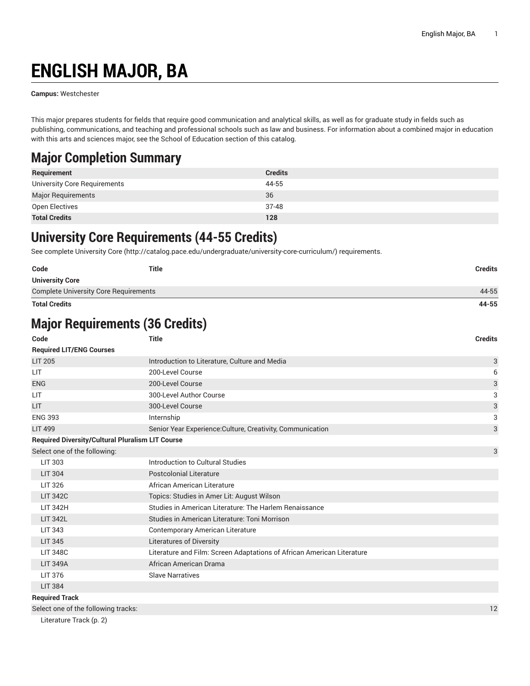# **ENGLISH MAJOR, BA**

**Campus:** Westchester

This major prepares students for fields that require good communication and analytical skills, as well as for graduate study in fields such as publishing, communications, and teaching and professional schools such as law and business. For information about a combined major in education with this arts and sciences major, see the School of Education section of this catalog.

### **Major Completion Summary**

| Requirement                  | <b>Credits</b> |
|------------------------------|----------------|
| University Core Requirements | 44-55          |
| <b>Major Requirements</b>    | 36             |
| Open Electives               | 37-48          |
| <b>Total Credits</b>         | 128            |

### **University Core Requirements (44-55 Credits)**

See complete [University](http://catalog.pace.edu/undergraduate/university-core-curriculum/) Core (<http://catalog.pace.edu/undergraduate/university-core-curriculum/>) requirements.

| Code                                         | Title | <b>Credits</b> |
|----------------------------------------------|-------|----------------|
| <b>University Core</b>                       |       |                |
| <b>Complete University Core Requirements</b> |       | 44-55          |
| <b>Total Credits</b>                         |       | 44-55          |

## **Major Requirements (36 Credits)**

| Code                                                    | <b>Title</b>                                                           | <b>Credits</b> |
|---------------------------------------------------------|------------------------------------------------------------------------|----------------|
| <b>Required LIT/ENG Courses</b>                         |                                                                        |                |
| <b>LIT 205</b>                                          | Introduction to Literature, Culture and Media                          | 3              |
| LIT                                                     | 200-Level Course                                                       | 6              |
| <b>ENG</b>                                              | 200-Level Course                                                       | 3              |
| LIT                                                     | 300-Level Author Course                                                | 3              |
| LIT                                                     | 300-Level Course                                                       | 3              |
| <b>ENG 393</b>                                          | Internship                                                             | 3              |
| <b>LIT 499</b>                                          | Senior Year Experience: Culture, Creativity, Communication             | 3              |
| <b>Required Diversity/Cultural Pluralism LIT Course</b> |                                                                        |                |
| Select one of the following:                            |                                                                        | 3              |
| <b>LIT 303</b>                                          | Introduction to Cultural Studies                                       |                |
| <b>LIT 304</b>                                          | <b>Postcolonial Literature</b>                                         |                |
| <b>LIT 326</b>                                          | African American Literature                                            |                |
| <b>LIT 342C</b>                                         | Topics: Studies in Amer Lit: August Wilson                             |                |
| <b>LIT 342H</b>                                         | Studies in American Literature: The Harlem Renaissance                 |                |
| <b>LIT 342L</b>                                         | Studies in American Literature: Toni Morrison                          |                |
| <b>LIT 343</b>                                          | <b>Contemporary American Literature</b>                                |                |
| <b>LIT 345</b>                                          | <b>Literatures of Diversity</b>                                        |                |
| <b>LIT 348C</b>                                         | Literature and Film: Screen Adaptations of African American Literature |                |
| <b>LIT 349A</b>                                         | African American Drama                                                 |                |
| LIT 376                                                 | <b>Slave Narratives</b>                                                |                |
| <b>LIT 384</b>                                          |                                                                        |                |
| <b>Required Track</b>                                   |                                                                        |                |
| Select one of the following tracks:                     |                                                                        | 12             |

[Literature](#page-1-0) Track [\(p. 2](#page-1-0))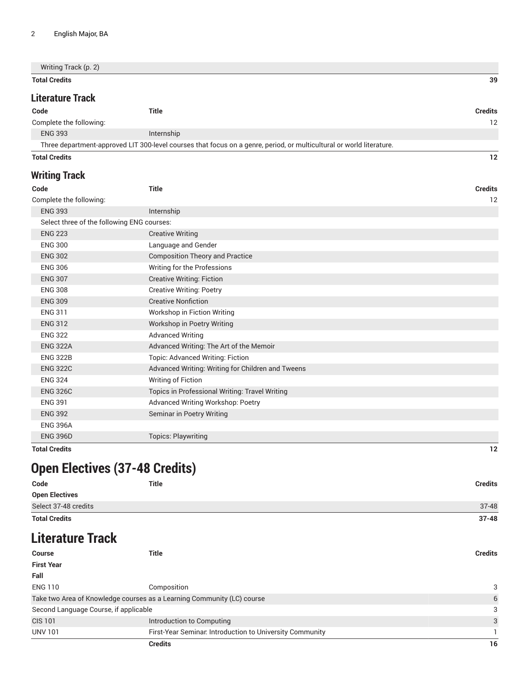| Writing Track (p. 2) |    |
|----------------------|----|
| <b>Total Credits</b> | 39 |
|                      |    |

#### <span id="page-1-0"></span>**Literature Track**

| <b>Credits</b>                                                                                                       |  |
|----------------------------------------------------------------------------------------------------------------------|--|
| 12                                                                                                                   |  |
| Internship                                                                                                           |  |
| Three department-approved LIT 300-level courses that focus on a genre, period, or multicultural or world literature. |  |
|                                                                                                                      |  |

#### <span id="page-1-1"></span>**Total Credits 12**

#### **Writing Track**

| Code                                       | <b>Title</b>                                      | <b>Credits</b> |
|--------------------------------------------|---------------------------------------------------|----------------|
| Complete the following:                    |                                                   | 12             |
| <b>ENG 393</b>                             | Internship                                        |                |
| Select three of the following ENG courses: |                                                   |                |
| <b>ENG 223</b>                             | <b>Creative Writing</b>                           |                |
| <b>ENG 300</b>                             | Language and Gender                               |                |
| <b>ENG 302</b>                             | <b>Composition Theory and Practice</b>            |                |
| <b>ENG 306</b>                             | Writing for the Professions                       |                |
| <b>ENG 307</b>                             | <b>Creative Writing: Fiction</b>                  |                |
| <b>ENG 308</b>                             | <b>Creative Writing: Poetry</b>                   |                |
| <b>ENG 309</b>                             | <b>Creative Nonfiction</b>                        |                |
| <b>ENG 311</b>                             | Workshop in Fiction Writing                       |                |
| <b>ENG 312</b>                             | Workshop in Poetry Writing                        |                |
| <b>ENG 322</b>                             | <b>Advanced Writing</b>                           |                |
| <b>ENG 322A</b>                            | Advanced Writing: The Art of the Memoir           |                |
| <b>ENG 322B</b>                            | Topic: Advanced Writing: Fiction                  |                |
| <b>ENG 322C</b>                            | Advanced Writing: Writing for Children and Tweens |                |
| <b>ENG 324</b>                             | Writing of Fiction                                |                |
| <b>ENG 326C</b>                            | Topics in Professional Writing: Travel Writing    |                |
| <b>ENG 391</b>                             | Advanced Writing Workshop: Poetry                 |                |
| <b>ENG 392</b>                             | Seminar in Poetry Writing                         |                |
| <b>ENG 396A</b>                            |                                                   |                |
| <b>ENG 396D</b>                            | <b>Topics: Playwriting</b>                        |                |
| <b>Total Credits</b>                       |                                                   | 12             |

## **Open Electives (37-48 Credits)**

| Code                  | <b>Title</b><br><b>Credits</b> |
|-----------------------|--------------------------------|
| <b>Open Electives</b> |                                |
| Select 37-48 credits  | $37 - 48$                      |
| <b>Total Credits</b>  | $37 - 48$                      |

## **Literature Track**

| <b>Course</b>                                                          | <b>Title</b>                                             | <b>Credits</b> |
|------------------------------------------------------------------------|----------------------------------------------------------|----------------|
| <b>First Year</b>                                                      |                                                          |                |
| Fall                                                                   |                                                          |                |
| <b>ENG 110</b>                                                         | Composition                                              | 3              |
| Take two Area of Knowledge courses as a Learning Community (LC) course |                                                          | 6              |
| Second Language Course, if applicable                                  |                                                          | 3              |
| <b>CIS 101</b>                                                         | Introduction to Computing                                | 3              |
| <b>UNV 101</b>                                                         | First-Year Seminar. Introduction to University Community |                |
|                                                                        | <b>Credits</b>                                           | 16             |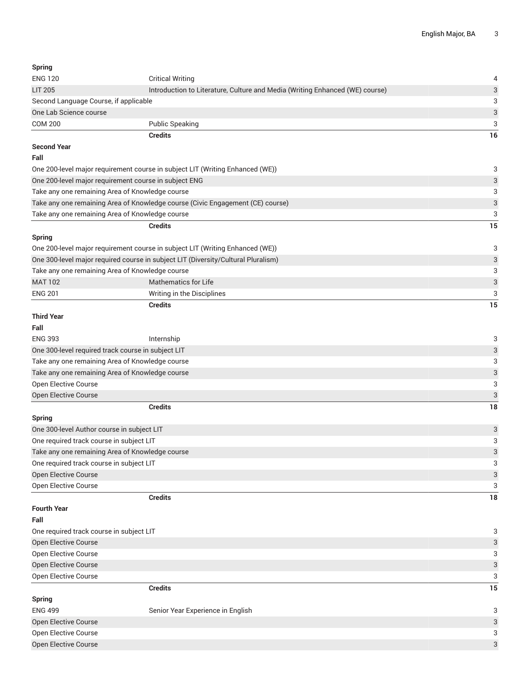| Spring                                             |                                                                                   |    |
|----------------------------------------------------|-----------------------------------------------------------------------------------|----|
| <b>ENG 120</b>                                     | <b>Critical Writing</b>                                                           |    |
| <b>LIT 205</b>                                     | Introduction to Literature, Culture and Media (Writing Enhanced (WE) course)      | 3  |
| Second Language Course, if applicable              |                                                                                   | 3  |
| One Lab Science course                             |                                                                                   | 3  |
| <b>COM 200</b>                                     | <b>Public Speaking</b>                                                            | 3  |
|                                                    | <b>Credits</b>                                                                    | 16 |
| <b>Second Year</b>                                 |                                                                                   |    |
| Fall                                               |                                                                                   |    |
|                                                    | One 200-level major requirement course in subject LIT (Writing Enhanced (WE))     | 3  |
|                                                    | One 200-level major requirement course in subject ENG                             | 3  |
| Take any one remaining Area of Knowledge course    |                                                                                   | 3  |
|                                                    | Take any one remaining Area of Knowledge course (Civic Engagement (CE) course)    | 3  |
| Take any one remaining Area of Knowledge course    |                                                                                   | 3  |
|                                                    | <b>Credits</b>                                                                    | 15 |
| Spring                                             |                                                                                   |    |
|                                                    | One 200-level major requirement course in subject LIT (Writing Enhanced (WE))     | 3  |
|                                                    | One 300-level major required course in subject LIT (Diversity/Cultural Pluralism) | 3  |
| Take any one remaining Area of Knowledge course    |                                                                                   | 3  |
| <b>MAT 102</b>                                     | <b>Mathematics for Life</b>                                                       | 3  |
| <b>ENG 201</b>                                     | Writing in the Disciplines                                                        | 3  |
|                                                    | <b>Credits</b>                                                                    | 15 |
| Third Year                                         |                                                                                   |    |
| Fall                                               |                                                                                   |    |
| <b>ENG 393</b>                                     | Internship                                                                        | 3  |
| One 300-level required track course in subject LIT |                                                                                   | 3  |
| Take any one remaining Area of Knowledge course    |                                                                                   | 3  |
| Take any one remaining Area of Knowledge course    |                                                                                   | 3  |
| Open Elective Course                               |                                                                                   | 3  |
| <b>Open Elective Course</b>                        |                                                                                   | 3  |
|                                                    | <b>Credits</b>                                                                    | 18 |
| Spring                                             |                                                                                   |    |
| One 300-level Author course in subject LIT         |                                                                                   | 3  |
| One required track course in subject LIT           |                                                                                   | 3  |
| Take any one remaining Area of Knowledge course    |                                                                                   | 3  |
| One required track course in subject LIT           |                                                                                   | 3  |
| Open Elective Course                               |                                                                                   | 3  |
| Open Elective Course                               |                                                                                   | 3  |
|                                                    | <b>Credits</b>                                                                    | 18 |
| Fourth Year                                        |                                                                                   |    |
| Fall                                               |                                                                                   |    |
| One required track course in subject LIT           |                                                                                   | 3  |
| Open Elective Course                               |                                                                                   | 3  |
| Open Elective Course                               |                                                                                   | 3  |
| Open Elective Course                               |                                                                                   | 3  |
| Open Elective Course                               |                                                                                   | 3  |
|                                                    | <b>Credits</b>                                                                    | 15 |
| Spring                                             |                                                                                   |    |
| <b>ENG 499</b>                                     | Senior Vear Evnerience in English                                                 | ₽  |

ENG 499 Senior Year Experience in English 3 Senior Year Experience in English 3 Open Elective Course 33 Open Elective Course 3 Open Elective Course 30 No. 2012 12:00:00 No. 2012 12:00:00 No. 2012 12:00:00 No. 2012 13:00:00 No. 30 No. 201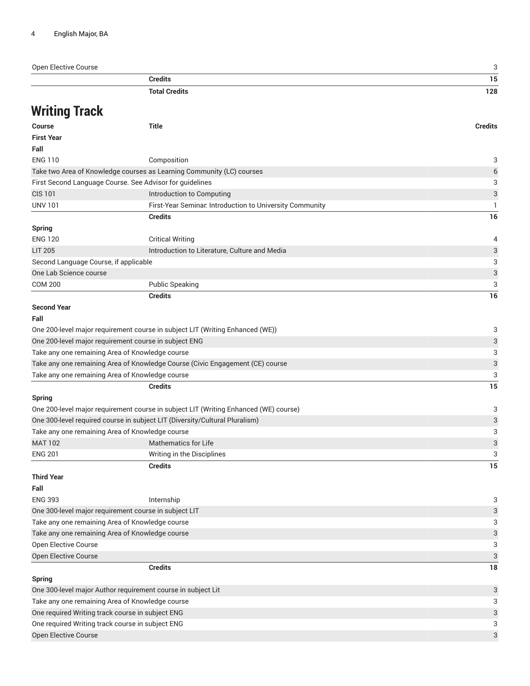| Open Elective Course                             |                                                                                      | 3                         |
|--------------------------------------------------|--------------------------------------------------------------------------------------|---------------------------|
|                                                  | <b>Credits</b>                                                                       | 15                        |
|                                                  | <b>Total Credits</b>                                                                 | 128                       |
| <b>Writing Track</b>                             |                                                                                      |                           |
| <b>Course</b>                                    | <b>Title</b>                                                                         | <b>Credits</b>            |
| <b>First Year</b>                                |                                                                                      |                           |
| Fall                                             |                                                                                      |                           |
| <b>ENG 110</b>                                   | Composition                                                                          | 3                         |
|                                                  | Take two Area of Knowledge courses as Learning Community (LC) courses                | 6                         |
|                                                  | First Second Language Course. See Advisor for guidelines                             | 3                         |
| <b>CIS 101</b>                                   | Introduction to Computing                                                            | 3                         |
| <b>UNV 101</b>                                   | First-Year Seminar. Introduction to University Community                             | 1                         |
|                                                  | <b>Credits</b>                                                                       | 16                        |
| <b>Spring</b>                                    |                                                                                      |                           |
| <b>ENG 120</b>                                   | <b>Critical Writing</b>                                                              | 4                         |
| <b>LIT 205</b>                                   | Introduction to Literature, Culture and Media                                        | $\ensuremath{\mathsf{3}}$ |
| Second Language Course, if applicable            |                                                                                      | 3                         |
| One Lab Science course                           |                                                                                      | $\ensuremath{\mathsf{3}}$ |
| <b>COM 200</b>                                   | <b>Public Speaking</b>                                                               | 3                         |
|                                                  | <b>Credits</b>                                                                       | 16                        |
| <b>Second Year</b>                               |                                                                                      |                           |
| Fall                                             |                                                                                      |                           |
|                                                  | One 200-level major requirement course in subject LIT (Writing Enhanced (WE))        | 3                         |
|                                                  | One 200-level major requirement course in subject ENG                                | 3                         |
|                                                  | Take any one remaining Area of Knowledge course                                      | 3                         |
|                                                  | Take any one remaining Area of Knowledge Course (Civic Engagement (CE) course        | 3                         |
|                                                  | Take any one remaining Area of Knowledge course                                      | 3                         |
|                                                  | <b>Credits</b>                                                                       | 15                        |
| <b>Spring</b>                                    |                                                                                      |                           |
|                                                  | One 200-level major requirement course in subject LIT (Writing Enhanced (WE) course) | 3                         |
|                                                  | One 300-level required course in subject LIT (Diversity/Cultural Pluralism)          | 3                         |
|                                                  | Take any one remaining Area of Knowledge course                                      | 3                         |
| <b>MAT 102</b>                                   | <b>Mathematics for Life</b>                                                          | $\ensuremath{\mathsf{3}}$ |
| <b>ENG 201</b>                                   | Writing in the Disciplines                                                           | 3                         |
|                                                  | <b>Credits</b>                                                                       | 15                        |
| <b>Third Year</b>                                |                                                                                      |                           |
| Fall                                             |                                                                                      |                           |
| <b>ENG 393</b>                                   | Internship                                                                           | 3                         |
|                                                  | One 300-level major requirement course in subject LIT                                | 3                         |
|                                                  | Take any one remaining Area of Knowledge course                                      | 3                         |
|                                                  | Take any one remaining Area of Knowledge course                                      | 3                         |
| Open Elective Course                             |                                                                                      | 3                         |
| Open Elective Course                             |                                                                                      | 3                         |
|                                                  | <b>Credits</b>                                                                       | 18                        |
| <b>Spring</b>                                    |                                                                                      |                           |
|                                                  | One 300-level major Author requirement course in subject Lit                         | 3                         |
|                                                  | Take any one remaining Area of Knowledge course                                      | 3                         |
|                                                  | One required Writing track course in subject ENG                                     | 3                         |
| One required Writing track course in subject ENG |                                                                                      |                           |

Open Elective Course 30 No. 2012 12:00 No. 2012 12:00:00 No. 2012 12:00:00 No. 2012 12:00:00 No. 30 No. 30 No. 30 No. 30 No. 30 No. 30 No. 30 No. 30 No. 30 No. 30 No. 30 No. 30 No. 30 No. 30 No. 30 No. 30 No. 30 No. 30 No.